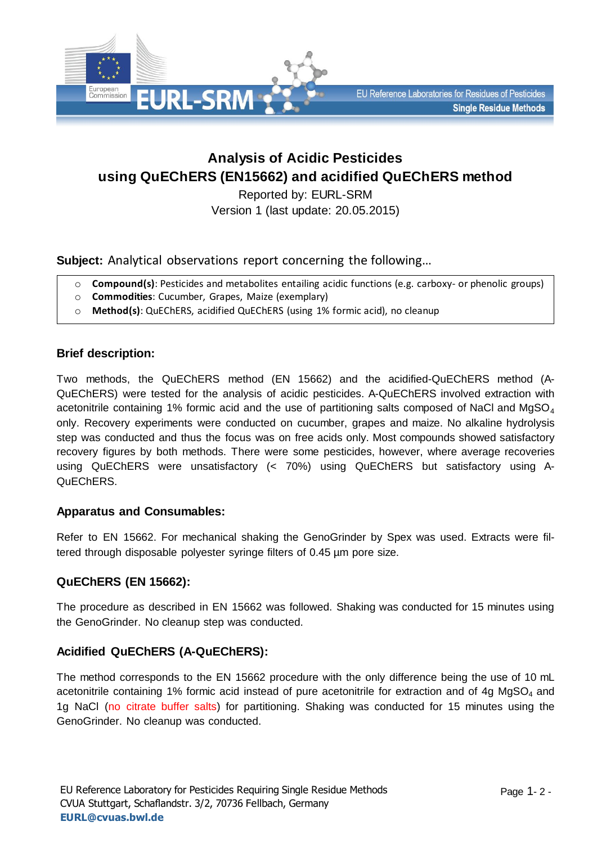

# **Analysis of Acidic Pesticides using QuEChERS (EN15662) and acidified QuEChERS method**

Reported by: EURL-SRM Version 1 (last update: 20.05.2015)

**Subject:** Analytical observations report concerning the following…

- o **Compound(s)**: Pesticides and metabolites entailing acidic functions (e.g. carboxy- or phenolic groups)
- o **Commodities**: Cucumber, Grapes, Maize (exemplary)
- o **Method(s)**: QuEChERS, acidified QuEChERS (using 1% formic acid), no cleanup

### **Brief description:**

Two methods, the QuEChERS method (EN 15662) and the acidified-QuEChERS method (A-QuEChERS) were tested for the analysis of acidic pesticides. A-QuEChERS involved extraction with acetonitrile containing 1% formic acid and the use of partitioning salts composed of NaCl and MgSO<sub>4</sub> only. Recovery experiments were conducted on cucumber, grapes and maize. No alkaline hydrolysis step was conducted and thus the focus was on free acids only. Most compounds showed satisfactory recovery figures by both methods. There were some pesticides, however, where average recoveries using QuEChERS were unsatisfactory (< 70%) using QuEChERS but satisfactory using A-QuEChERS.

### **Apparatus and Consumables:**

Refer to EN 15662. For mechanical shaking the GenoGrinder by Spex was used. Extracts were filtered through disposable polyester syringe filters of 0.45 µm pore size.

# **QuEChERS (EN 15662):**

The procedure as described in EN 15662 was followed. Shaking was conducted for 15 minutes using the GenoGrinder. No cleanup step was conducted.

# **Acidified QuEChERS (A-QuEChERS):**

The method corresponds to the EN 15662 procedure with the only difference being the use of 10 mL acetonitrile containing 1% formic acid instead of pure acetonitrile for extraction and of 4g  $MgSO<sub>4</sub>$  and 1g NaCl (no citrate buffer salts) for partitioning. Shaking was conducted for 15 minutes using the GenoGrinder. No cleanup was conducted.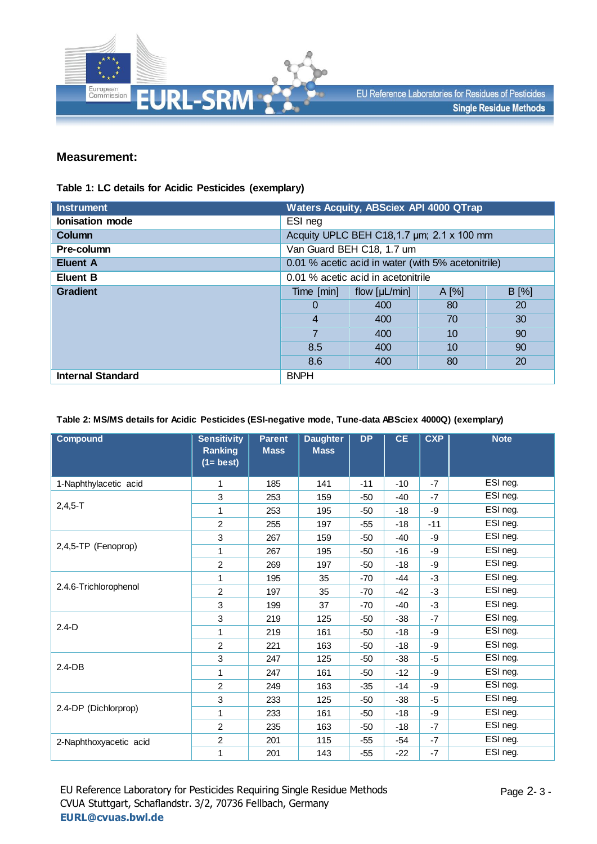

### **Measurement:**

#### **Table 1: LC details for Acidic Pesticides (exemplary)**

| <b>Instrument</b>        | <b>Waters Acquity, ABSciex API 4000 QTrap</b>      |                                            |         |         |  |  |
|--------------------------|----------------------------------------------------|--------------------------------------------|---------|---------|--|--|
| <b>Ionisation mode</b>   | ESI neg                                            |                                            |         |         |  |  |
| Column                   |                                                    | Acquity UPLC BEH C18, 1.7 um; 2.1 x 100 mm |         |         |  |  |
| Pre-column               |                                                    | Van Guard BEH C18, 1.7 um                  |         |         |  |  |
| <b>Eluent A</b>          | 0.01 % acetic acid in water (with 5% acetonitrile) |                                            |         |         |  |  |
| <b>Eluent B</b>          | 0.01 % acetic acid in acetonitrile                 |                                            |         |         |  |  |
| <b>Gradient</b>          | Time [min]                                         | flow $[\mu L/min]$                         | $A[\%]$ | $B[\%]$ |  |  |
|                          | 0                                                  | 400                                        | 80      | 20      |  |  |
|                          | 4                                                  | 400                                        | 70      | 30      |  |  |
|                          | 7                                                  | 400                                        | 10      | 90      |  |  |
|                          | 8.5                                                | 400                                        | 10      | 90      |  |  |
|                          | 8.6                                                | 400                                        | 80      | 20      |  |  |
| <b>Internal Standard</b> | <b>BNPH</b>                                        |                                            |         |         |  |  |

#### **Table 2: MS/MS details for Acidic Pesticides (ESI-negative mode, Tune-data ABSciex 4000Q) (exemplary)**

| <b>Compound</b>        | <b>Sensitivity</b><br><b>Ranking</b><br>$(1 = best)$ | <b>Parent</b><br><b>Mass</b> | <b>Daughter</b><br><b>Mass</b> | <b>DP</b> | <b>CE</b> | <b>CXP</b> | <b>Note</b> |
|------------------------|------------------------------------------------------|------------------------------|--------------------------------|-----------|-----------|------------|-------------|
| 1-Naphthylacetic acid  | 1                                                    | 185                          | 141                            | $-11$     | $-10$     | $-7$       | ESI neg.    |
|                        | 3                                                    | 253                          | 159                            | $-50$     | $-40$     | $-7$       | ESI neg.    |
| $2,4,5 - T$            | 1                                                    | 253                          | 195                            | $-50$     | $-18$     | -9         | ESI neg.    |
|                        | 2                                                    | 255                          | 197                            | $-55$     | -18       | $-11$      | ESI neg.    |
|                        | 3                                                    | 267                          | 159                            | $-50$     | $-40$     | -9         | ESI neg.    |
| 2,4,5-TP (Fenoprop)    | 1                                                    | 267                          | 195                            | $-50$     | $-16$     | -9         | ESI neg.    |
|                        | $\overline{2}$                                       | 269                          | 197                            | $-50$     | $-18$     | -9         | ESI neg.    |
| 2.4.6-Trichlorophenol  | 1                                                    | 195                          | 35                             | $-70$     | -44       | -3         | ESI neg.    |
|                        | $\overline{2}$                                       | 197                          | 35                             | $-70$     | $-42$     | -3         | ESI neg.    |
|                        | 3                                                    | 199                          | 37                             | $-70$     | $-40$     | -3         | ESI neg.    |
|                        | 3                                                    | 219                          | 125                            | $-50$     | $-38$     | $-7$       | ESI neg.    |
| $2.4-D$                | 1                                                    | 219                          | 161                            | $-50$     | $-18$     | -9         | ESI neg.    |
|                        | 2                                                    | 221                          | 163                            | $-50$     | $-18$     | -9         | ESI neg.    |
|                        | 3                                                    | 247                          | 125                            | -50       | $-38$     | $-5$       | ESI neg.    |
| $2.4 - DB$             | 1                                                    | 247                          | 161                            | $-50$     | $-12$     | -9         | ESI neg.    |
|                        | $\overline{2}$                                       | 249                          | 163                            | $-35$     | $-14$     | -9         | ESI neg.    |
|                        | 3                                                    | 233                          | 125                            | $-50$     | $-38$     | $-5$       | ESI neg.    |
| 2.4-DP (Dichlorprop)   | 1                                                    | 233                          | 161                            | $-50$     | $-18$     | -9         | ESI neg.    |
|                        | $\overline{2}$                                       | 235                          | 163                            | $-50$     | $-18$     | $-7$       | ESI neg.    |
| 2-Naphthoxyacetic acid | $\overline{c}$                                       | 201                          | 115                            | $-55$     | $-54$     | $-7$       | ESI neg.    |
|                        | 1                                                    | 201                          | 143                            | $-55$     | $-22$     | $-7$       | ESI neg.    |

EU Reference Laboratory for Pesticides Requiring Single Residue Methods CVUA Stuttgart, Schaflandstr. 3/2, 70736 Fellbach, Germany **[EURL@cvuas.bwl.de](mailto:CRL@cvuas.bwl.de)**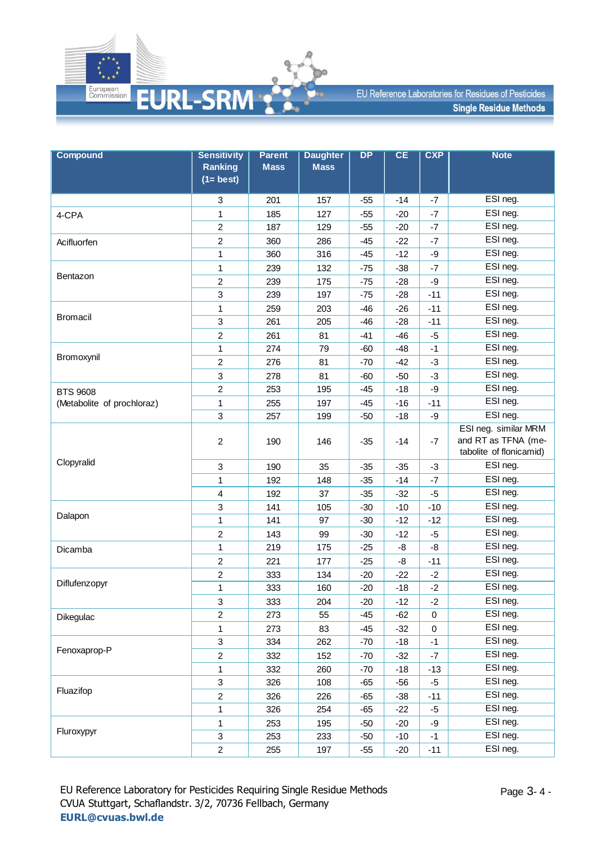

| <b>Compound</b>            | <b>Sensitivity</b>             | <b>Parent</b> | <b>Daughter</b> | DP    | CE    | <b>CXP</b> | <b>Note</b>                                                            |
|----------------------------|--------------------------------|---------------|-----------------|-------|-------|------------|------------------------------------------------------------------------|
|                            | <b>Ranking</b><br>$(1 = best)$ | <b>Mass</b>   | <b>Mass</b>     |       |       |            |                                                                        |
|                            | 3                              | 201           | 157             | $-55$ | $-14$ | -7         | ESI neg.                                                               |
| 4-CPA                      | 1                              | 185           | 127             | $-55$ | $-20$ | $-7$       | ESI neg.                                                               |
|                            | $\overline{c}$                 | 187           | 129             | $-55$ | $-20$ | $-7$       | ESI neg.                                                               |
| Acifluorfen                | $\overline{c}$                 | 360           | 286             | $-45$ | $-22$ | $-7$       | ESI neg.                                                               |
|                            | 1                              | 360           | 316             | $-45$ | $-12$ | -9         | ESI neg.                                                               |
|                            | 1                              | 239           | 132             | $-75$ | $-38$ | $-7$       | ESI neg.                                                               |
| Bentazon                   | $\overline{c}$                 | 239           | 175             | $-75$ | $-28$ | -9         | ESI neg.                                                               |
|                            | 3                              | 239           | 197             | $-75$ | $-28$ | $-11$      | ESI neg.                                                               |
|                            | 1                              | 259           | 203             | $-46$ | $-26$ | $-11$      | ESI neg.                                                               |
| <b>Bromacil</b>            | 3                              | 261           | 205             | $-46$ | $-28$ | $-11$      | ESI neg.                                                               |
|                            | $\overline{c}$                 | 261           | 81              | $-41$ | $-46$ | $-5$       | ESI neg.                                                               |
|                            | 1                              | 274           | 79              | $-60$ | $-48$ | $-1$       | ESI neg.                                                               |
| Bromoxynil                 | $\overline{c}$                 | 276           | 81              | $-70$ | $-42$ | $-3$       | ESI neg.                                                               |
|                            | 3                              | 278           | 81              | $-60$ | $-50$ | $-3$       | ESI neg.                                                               |
| <b>BTS 9608</b>            | $\overline{2}$                 | 253           | 195             | $-45$ | $-18$ | -9         | ESI neg.                                                               |
| (Metabolite of prochloraz) | 1                              | 255           | 197             | $-45$ | $-16$ | $-11$      | ESI neg.                                                               |
|                            | 3                              | 257           | 199             | $-50$ | $-18$ | -9         | ESI neg.                                                               |
|                            | $\overline{c}$                 | 190           | 146             | $-35$ | $-14$ | $-7$       | ESI neg. similar MRM<br>and RT as TFNA (me-<br>tabolite of flonicamid) |
| Clopyralid                 | 3                              | 190           | 35              | $-35$ | $-35$ | $-3$       | ESI neg.                                                               |
|                            | $\mathbf{1}$                   | 192           | 148             | $-35$ | $-14$ | $-7$       | ESI neg.                                                               |
|                            | $\overline{4}$                 | 192           | 37              | $-35$ | $-32$ | $-5$       | ESI neg.                                                               |
|                            | 3                              | 141           | 105             | $-30$ | $-10$ | $-10$      | ESI neg.                                                               |
| Dalapon                    | 1                              | 141           | 97              | $-30$ | $-12$ | $-12$      | ESI neg.                                                               |
|                            | $\overline{2}$                 | 143           | 99              | $-30$ | $-12$ | -5         | ESI neg.                                                               |
| Dicamba                    | 1                              | 219           | 175             | $-25$ | -8    | -8         | ESI neg.                                                               |
|                            | $\overline{2}$                 | 221           | 177             | $-25$ | -8    | $-11$      | ESI neg.                                                               |
|                            | $\overline{c}$                 | 333           | 134             | $-20$ | $-22$ | $-2$       | ESI neg.                                                               |
| Diflufenzopyr              | $\mathbf{1}$                   | 333           | 160             | $-20$ | $-18$ | $-2$       | ESI neg.                                                               |
|                            | 3                              | 333           | 204             | $-20$ | $-12$ | $-2$       | ESI neg.                                                               |
| Dikegulac                  | $\overline{c}$                 | 273           | 55              | -45   | $-62$ | 0          | ESI neg.                                                               |
|                            | $\mathbf{1}$                   | 273           | 83              | $-45$ | $-32$ | $\pmb{0}$  | ESI neg.                                                               |
| Fenoxaprop-P               | 3                              | 334           | 262             | $-70$ | $-18$ | $-1$       | ESI neg.                                                               |
|                            | $\overline{c}$                 | 332           | 152             | $-70$ | $-32$ | $-7$       | ESI neg.                                                               |
|                            | 1                              | 332           | 260             | $-70$ | $-18$ | $-13$      | ESI neg.                                                               |
| Fluazifop                  | 3                              | 326           | 108             | $-65$ | $-56$ | $-5$       | ESI neg.                                                               |
|                            | $\overline{c}$                 | 326           | 226             | $-65$ | $-38$ | $-11$      | ESI neg.                                                               |
|                            | $\mathbf{1}$                   | 326           | 254             | $-65$ | $-22$ | $-5$       | ESI neg.                                                               |
|                            | 1                              | 253           | 195             | $-50$ | $-20$ | -9         | ESI neg.                                                               |
| Fluroxypyr                 | 3                              | 253           | 233             | $-50$ | $-10$ | $-1$       | ESI neg.                                                               |
|                            | $\overline{c}$                 | 255           | 197             | $-55$ | $-20$ | $-11$      | ESI neg.                                                               |

EU Reference Laboratory for Pesticides Requiring Single Residue Methods CVUA Stuttgart, Schaflandstr. 3/2, 70736 Fellbach, Germany **[EURL@cvuas.bwl.de](mailto:CRL@cvuas.bwl.de)**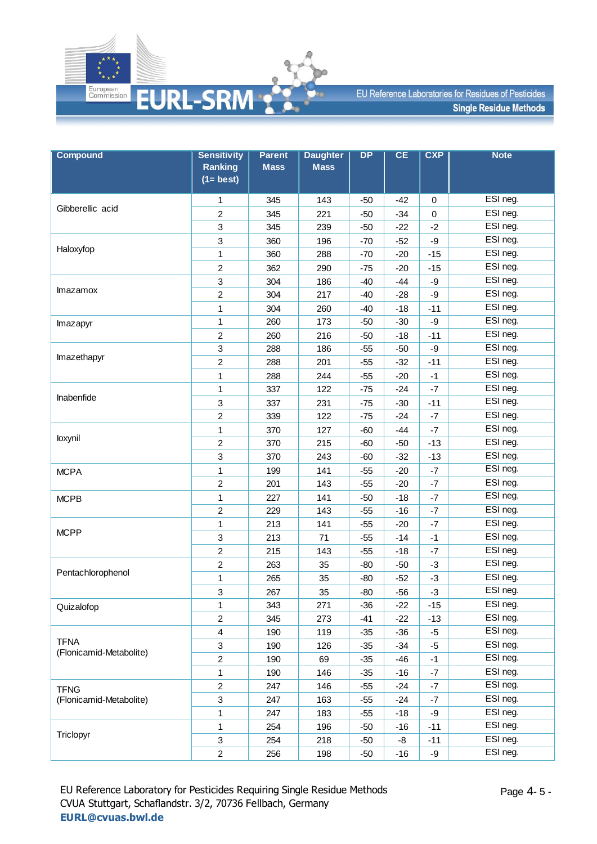

| <b>Compound</b>         | <b>Sensitivity</b>             | <b>Parent</b> | <b>Daughter</b> | $\overline{DP}$ | CE    | <b>CXP</b>  | <b>Note</b> |
|-------------------------|--------------------------------|---------------|-----------------|-----------------|-------|-------------|-------------|
|                         | <b>Ranking</b><br>$(1 = best)$ | <b>Mass</b>   | <b>Mass</b>     |                 |       |             |             |
|                         | 1                              | 345           | 143             | $-50$           | -42   | 0           | ESI neg.    |
| Gibberellic acid        | $\overline{2}$                 | 345           | 221             | $-50$           | $-34$ | $\mathbf 0$ | ESI neg.    |
|                         | 3                              | 345           | 239             | $-50$           | $-22$ | $-2$        | ESI neg.    |
|                         | 3                              | 360           | 196             | $-70$           | $-52$ | -9          | ESI neg.    |
| Haloxyfop               | 1                              | 360           | 288             | $-70$           | $-20$ | $-15$       | ESI neg.    |
|                         | $\overline{c}$                 | 362           | 290             | $-75$           | $-20$ | $-15$       | ESI neg.    |
|                         | 3                              | 304           | 186             | $-40$           | $-44$ | -9          | ESI neg.    |
| Imazamox                | $\overline{c}$                 | 304           | 217             | $-40$           | $-28$ | -9          | ESI neg.    |
|                         | 1                              | 304           | 260             | $-40$           | $-18$ | $-11$       | ESI neg.    |
| Imazapyr                | 1                              | 260           | 173             | $-50$           | $-30$ | -9          | ESI neg.    |
|                         | $\overline{2}$                 | 260           | 216             | $-50$           | $-18$ | $-11$       | ESI neg.    |
|                         | 3                              | 288           | 186             | $-55$           | $-50$ | -9          | ESI neg.    |
| Imazethapyr             | $\overline{c}$                 | 288           | 201             | $-55$           | $-32$ | $-11$       | ESI neg.    |
|                         | 1                              | 288           | 244             | $-55$           | $-20$ | $-1$        | ESI neg.    |
|                         | 1                              | 337           | 122             | $-75$           | $-24$ | $-7$        | ESI neg.    |
| Inabenfide              | 3                              | 337           | 231             | $-75$           | $-30$ | $-11$       | ESI neg.    |
|                         | $\overline{c}$                 | 339           | 122             | $-75$           | $-24$ | $-7$        | ESI neg.    |
|                         | 1                              | 370           | 127             | $-60$           | $-44$ | $-7$        | ESI neg.    |
| loxynil                 | $\overline{2}$                 | 370           | 215             | $-60$           | $-50$ | $-13$       | ESI neg.    |
|                         | 3                              | 370           | 243             | $-60$           | $-32$ | $-13$       | ESI neg.    |
| <b>MCPA</b>             | 1                              | 199           | 141             | $-55$           | $-20$ | $-7$        | ESI neg.    |
|                         | $\overline{c}$                 | 201           | 143             | $-55$           | $-20$ | $-7$        | ESI neg.    |
| <b>MCPB</b>             | 1                              | 227           | 141             | $-50$           | $-18$ | $-7$        | ESI neg.    |
|                         | $\overline{c}$                 | 229           | 143             | $-55$           | $-16$ | $-7$        | ESI neg.    |
|                         | 1                              | 213           | 141             | $-55$           | $-20$ | $-7$        | ESI neg.    |
| <b>MCPP</b>             | 3                              | 213           | 71              | $-55$           | $-14$ | $-1$        | ESI neg.    |
|                         | $\overline{c}$                 | 215           | 143             | $-55$           | $-18$ | $-7$        | ESI neg.    |
|                         | $\overline{c}$                 | 263           | 35              | $-80$           | $-50$ | $-3$        | ESI neg.    |
| Pentachlorophenol       | 1                              | 265           | 35              | $-80$           | $-52$ | $-3$        | ESI neg.    |
|                         | 3                              | 267           | 35              | $-80$           | $-56$ | $-3$        | ESI neg.    |
| Quizalofop              | 1                              | 343           | 271             | $-36$           | $-22$ | $-15$       | ESI neg.    |
|                         | $\overline{2}$                 | 345           | 273             | $-41$           | $-22$ | $-13$       | ESI neg.    |
|                         | $\overline{4}$                 | 190           | 119             | $-35$           | $-36$ | $-5$        | ESI neg.    |
| <b>TFNA</b>             | 3                              | 190           | 126             | $-35$           | $-34$ | $-5$        | ESI neg.    |
| (Flonicamid-Metabolite) | $\overline{c}$                 | 190           | 69              | $-35$           | $-46$ | $-1$        | ESI neg.    |
|                         | $\mathbf{1}$                   | 190           | 146             | $-35$           | -16   | $-7$        | ESI neg.    |
| <b>TFNG</b>             | $\overline{c}$                 | 247           | 146             | $-55$           | $-24$ | -7          | ESI neg.    |
| (Flonicamid-Metabolite) | 3                              | 247           | 163             | $-55$           | $-24$ | $-7$        | ESI neg.    |
|                         | 1                              | 247           | 183             | $-55$           | $-18$ | -9          | ESI neg.    |
|                         | $\mathbf{1}$                   | 254           | 196             | $-50$           | $-16$ | $-11$       | ESI neg.    |
| Triclopyr               | $\sqrt{3}$                     | 254           | 218             | $-50$           | -8    | $-11$       | ESI neg.    |
|                         | $\overline{c}$                 | 256           | 198             | $-50$           | $-16$ | -9          | ESI neg.    |

EU Reference Laboratory for Pesticides Requiring Single Residue Methods CVUA Stuttgart, Schaflandstr. 3/2, 70736 Fellbach, Germany **[EURL@cvuas.bwl.de](mailto:CRL@cvuas.bwl.de)**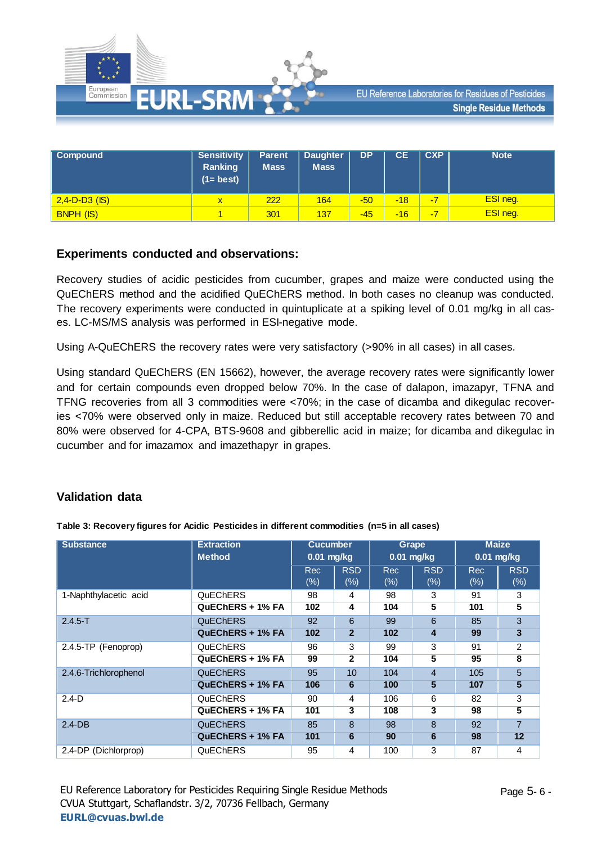

| Compound         | <b>Sensitivity</b><br><b>Ranking</b><br>$(1 = best)$ | <b>Parent</b><br><b>Mass</b> | <b>Daughter</b><br><b>Mass</b> | DP    | <b>CE</b> | CXP | <b>Note</b> |
|------------------|------------------------------------------------------|------------------------------|--------------------------------|-------|-----------|-----|-------------|
| $2,4-D-D3$ (IS)  | $\mathbf x$                                          | 222                          | 164                            | $-50$ | $-18$     | -7  | ESI neg.    |
| <b>BNPH (IS)</b> |                                                      | 301                          | 137                            | $-45$ | $-16$     | -7  | ESI neg.    |

### **Experiments conducted and observations:**

Recovery studies of acidic pesticides from cucumber, grapes and maize were conducted using the QuEChERS method and the acidified QuEChERS method. In both cases no cleanup was conducted. The recovery experiments were conducted in quintuplicate at a spiking level of 0.01 mg/kg in all cases. LC-MS/MS analysis was performed in ESI-negative mode.

Using A-QuEChERS the recovery rates were very satisfactory (>90% in all cases) in all cases.

Using standard QuEChERS (EN 15662), however, the average recovery rates were significantly lower and for certain compounds even dropped below 70%. In the case of dalapon, imazapyr, TFNA and TFNG recoveries from all 3 commodities were <70%; in the case of dicamba and dikegulac recoveries <70% were observed only in maize. Reduced but still acceptable recovery rates between 70 and 80% were observed for 4-CPA, BTS-9608 and gibberellic acid in maize; for dicamba and dikegulac in cucumber and for imazamox and imazethapyr in grapes.

# **Validation data**

| <b>Substance</b>      | <b>Extraction</b><br><b>Method</b> | <b>Cucumber</b><br>$0.01$ mg/kg |                   |                   | Grape<br>$0.01$ mg/kg | <b>Maize</b><br>$0.01$ mg/kg |                      |
|-----------------------|------------------------------------|---------------------------------|-------------------|-------------------|-----------------------|------------------------------|----------------------|
|                       |                                    | <b>Rec</b><br>(%)               | <b>RSD</b><br>(%) | <b>Rec</b><br>(%) | <b>RSD</b><br>$(\%)$  | <b>Rec</b><br>(%)            | <b>RSD</b><br>$(\%)$ |
| 1-Naphthylacetic acid | QuEChERS                           | 98                              | 4                 | 98                | 3                     | 91                           | 3                    |
|                       | QuEChERS + 1% FA                   | 102                             | 4                 | 104               | 5                     | 101                          | 5                    |
| $2.4.5 - T$           | <b>QuEChERS</b>                    | 92                              | 6                 | 99                | 6                     | 85                           | 3                    |
|                       | QuEChERS + 1% FA                   | 102                             | $\overline{2}$    | 102               | 4                     | 99                           | 3                    |
| 2.4.5-TP (Fenoprop)   | QuEChERS                           | 96                              | 3                 | 99                | 3                     | 91                           | 2                    |
|                       | QuEChERS + 1% FA                   | 99                              | $\mathbf{2}$      | 104               | 5                     | 95                           | 8                    |
| 2.4.6-Trichlorophenol | <b>QuEChERS</b>                    | 95                              | 10                | 104               | $\overline{4}$        | 105                          | 5                    |
|                       | QuEChERS + 1% FA                   | 106                             | 6                 | 100               | 5                     | 107                          | 5                    |
| $2.4-D$               | <b>QuEChERS</b>                    | 90                              | 4                 | 106               | 6                     | 82                           | 3                    |
|                       | QuEChERS + 1% FA                   | 101                             | 3                 | 108               | 3                     | 98                           | 5                    |
| $2.4-DB$              | <b>QuEChERS</b>                    | 85                              | 8                 | 98                | 8                     | 92                           | $\overline{7}$       |
|                       | QuEChERS + 1% FA                   | 101                             | 6                 | 90                | 6                     | 98                           | 12                   |
| 2.4-DP (Dichlorprop)  | QuEChERS                           | 95                              | 4                 | 100               | 3                     | 87                           | 4                    |

**Table 3: Recovery figures for Acidic Pesticides in different commodities (n=5 in all cases)**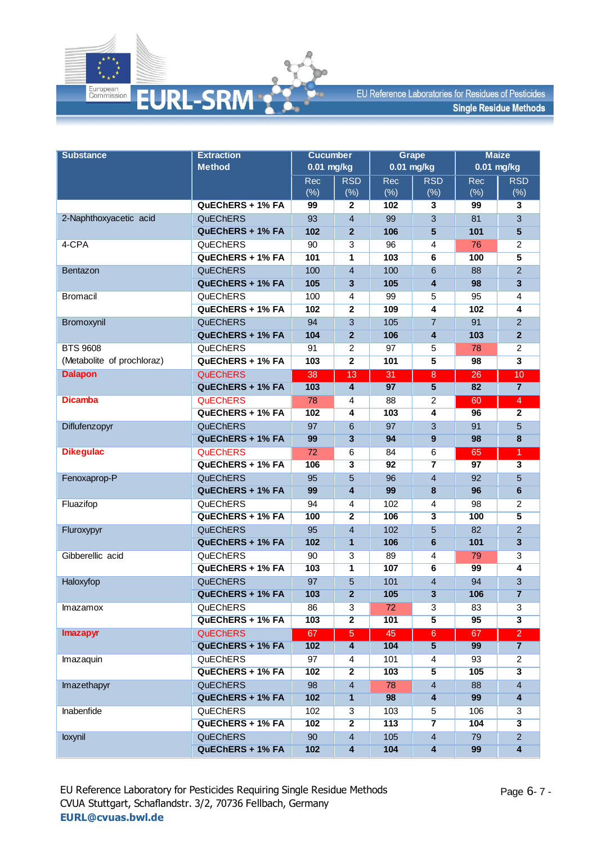

| <b>Substance</b>           | <b>Extraction</b> | <b>Cucumber</b> |                         |              | <b>Grape</b>            | <b>Maize</b>    |                                      |  |
|----------------------------|-------------------|-----------------|-------------------------|--------------|-------------------------|-----------------|--------------------------------------|--|
|                            | <b>Method</b>     | $0.01$ mg/kg    |                         | $0.01$ mg/kg |                         | 0.01 mg/kg      |                                      |  |
|                            |                   | Rec             | <b>RSD</b>              | Rec          | <b>RSD</b>              | Rec             | <b>RSD</b>                           |  |
|                            |                   | (%)             | $(\%)$                  | (% )         | $(\%)$                  | (%)             | (% )                                 |  |
|                            | QuEChERS + 1% FA  | 99              | $\mathbf{2}$            | 102          | 3                       | 99              | 3                                    |  |
| 2-Naphthoxyacetic acid     | <b>QuEChERS</b>   | 93              | $\overline{4}$          | 99           | 3                       | 81              | 3                                    |  |
|                            | QuEChERS + 1% FA  | 102             | $\overline{2}$          | 106          | 5                       | 101             | $5\phantom{1}$                       |  |
| 4-CPA                      | QuEChERS          | 90              | 3                       | 96           | 4                       | 76              | $\overline{c}$                       |  |
|                            | QuEChERS + 1% FA  | 101             | 1                       | 103          | 6                       | 100             | 5                                    |  |
| Bentazon                   | <b>QuEChERS</b>   | 100             | $\overline{4}$          | 100          | 6                       | 88              | $\overline{a}$                       |  |
|                            | QuEChERS + 1% FA  | 105             | 3                       | 105          | 4                       | 98              | 3                                    |  |
| <b>Bromacil</b>            | QuEChERS          | 100             | 4                       | 99           | 5                       | 95              | 4                                    |  |
|                            | QuEChERS + 1% FA  | 102             | $\overline{2}$          | 109          | 4                       | 102             | 4                                    |  |
| Bromoxynil                 | <b>QuEChERS</b>   | 94              | 3                       | 105          | $\overline{7}$          | 91              | $\overline{2}$                       |  |
|                            | QuEChERS + 1% FA  | 104             | $\overline{2}$          | 106          | 4                       | 103             | $\overline{2}$                       |  |
| <b>BTS 9608</b>            | QuEChERS          | 91              | 2                       | 97           | 5                       | 78              | $\overline{c}$                       |  |
| (Metabolite of prochloraz) | QuEChERS + 1% FA  | 103             | $\overline{2}$          | 101          | $\overline{5}$          | 98              | $\overline{\mathbf{3}}$              |  |
| <b>Dalapon</b>             | <b>QuEChERS</b>   | 38              | 13                      | 31           | 8                       | 26              | 10                                   |  |
|                            | QuEChERS + 1% FA  | 103             | $\overline{4}$          | 97           | 5                       | 82              | $\overline{7}$                       |  |
| <b>Dicamba</b>             | <b>QuEChERS</b>   | 78              | 4                       | 88           | 2                       | 60              | $\overline{4}$                       |  |
|                            | QuEChERS + 1% FA  | 102             | $\overline{4}$          | 103          | $\overline{4}$          | 96              | $\overline{2}$                       |  |
| Diflufenzopyr              | <b>QuEChERS</b>   | 97              | $6\phantom{1}6$         | 97           | 3                       | 91              | 5                                    |  |
|                            | QuEChERS + 1% FA  | 99              | $\overline{3}$          | 94           | 9                       | 98              | 8                                    |  |
| <b>Dikegulac</b>           | <b>QuEChERS</b>   | 72              | $\,6$                   | 84           | 6                       | 65              | $\overline{1}$                       |  |
|                            | QuEChERS + 1% FA  | 106             | $\overline{\mathbf{3}}$ | 92           | $\overline{\mathbf{z}}$ | $\overline{97}$ | $\overline{\overline{\overline{3}}}$ |  |
| Fenoxaprop-P               | QuEChERS          | 95              | 5                       | 96           | $\overline{4}$          | 92              | $\overline{5}$                       |  |
|                            | QuEChERS + 1% FA  | 99              | $\overline{\mathbf{4}}$ | 99           | 8                       | 96              | $6\phantom{1}$                       |  |
| Fluazifop                  | QuEChERS          | 94              | 4                       | 102          | 4                       | 98              | 2                                    |  |
|                            | QuEChERS + 1% FA  | 100             | $\overline{2}$          | 106          | $\overline{\mathbf{3}}$ | 100             | $\overline{\mathbf{5}}$              |  |
| Fluroxypyr                 | QuEChERS          | 95              | $\overline{4}$          | 102          | 5                       | 82              | $\overline{2}$                       |  |
|                            | QuEChERS + 1% FA  | 102             | $\mathbf{1}$            | 106          | 6                       | 101             | $\overline{\mathbf{3}}$              |  |
| Gibberellic acid           | QuEChERS          | 90              | 3                       | 89           | 4                       | 79              | 3                                    |  |
|                            | QuEChERS + 1% FA  | 103             | $\overline{\mathbf{1}}$ | 107          | $6\overline{6}$         | 99              | $\overline{4}$                       |  |
| Haloxyfop                  | <b>QuEChERS</b>   | 97              | 5                       | 101          | 4                       | 94              | 3                                    |  |
|                            | QuEChERS + 1% FA  | 103             | $\overline{2}$          | 105          | 3                       | 106             | $\overline{7}$                       |  |
| Imazamox                   | QuEChERS          | 86              | 3                       | 72           | 3                       | 83              | 3                                    |  |
|                            | QuEChERS + 1% FA  | 103             | $\overline{2}$          | 101          | 5                       | 95              | $\overline{\mathbf{3}}$              |  |
| <b>Imazapyr</b>            | <b>QuEChERS</b>   | 67              | $\overline{5}$          | 45           | $6^{\circ}$             | 67              | $\overline{2}$                       |  |
|                            | QuEChERS + 1% FA  | 102             | $\overline{\mathbf{4}}$ | 104          | $\overline{5}$          | 99              | $\overline{7}$                       |  |
| Imazaquin                  | QuEChERS          | 97              | 4                       | 101          | 4                       | 93              | $\overline{c}$                       |  |
|                            | QuEChERS + 1% FA  | 102             | $\overline{2}$          | 103          | $\overline{\mathbf{5}}$ | 105             | $\overline{\mathbf{3}}$              |  |
| Imazethapyr                | <b>QuEChERS</b>   | 98              | $\overline{4}$          | 78           | $\overline{4}$          | 88              | $\overline{4}$                       |  |
|                            | QuEChERS + 1% FA  | 102             | $\mathbf{1}$            | 98           | 4                       | 99              | 4                                    |  |
| Inabenfide                 | QuEChERS          | 102             | 3                       | 103          | 5                       | 106             | 3                                    |  |
|                            | QuEChERS + 1% FA  | 102             | $\overline{2}$          | 113          | $\overline{\mathbf{7}}$ | 104             | $\overline{\mathbf{3}}$              |  |
| loxynil                    | <b>QuEChERS</b>   | 90              | $\overline{4}$          | 105          | $\overline{4}$          | 79              | $\overline{a}$                       |  |
|                            | QuEChERS + 1% FA  | 102             | $\overline{\mathbf{4}}$ | 104          | $\overline{\mathbf{4}}$ | 99              | 4                                    |  |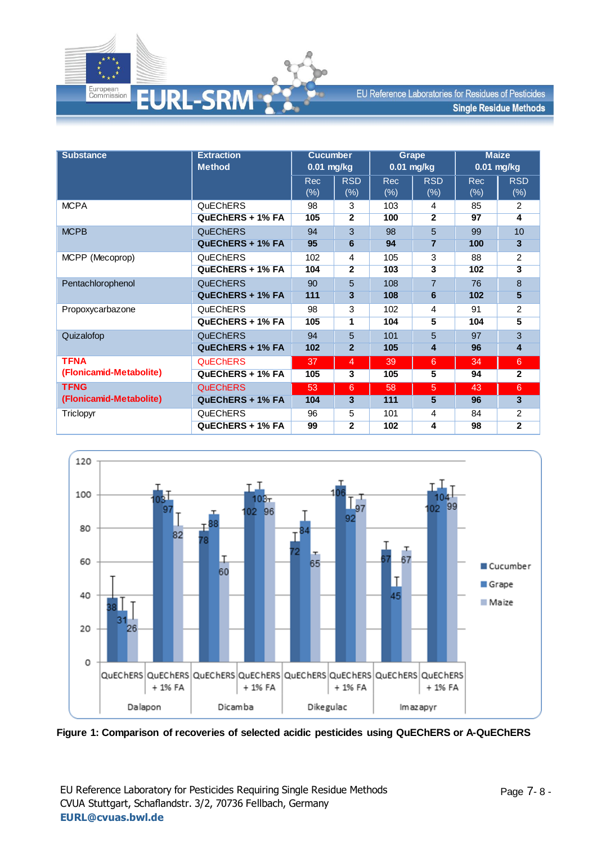

| <b>Substance</b>        | <b>Extraction</b><br><b>Method</b> | <b>Cucumber</b><br>$0.01$ mg/kg |                      |                    | Grape<br>$0.01$ mg/kg   | <b>Maize</b><br>$0.01$ mg/kg |                         |
|-------------------------|------------------------------------|---------------------------------|----------------------|--------------------|-------------------------|------------------------------|-------------------------|
|                         |                                    | <b>Rec</b><br>$(\%)$            | <b>RSD</b><br>$(\%)$ | <b>Rec</b><br>(% ) | <b>RSD</b><br>(% )      | <b>Rec</b><br>(% )           | <b>RSD</b><br>$(\%)$    |
| <b>MCPA</b>             | QuEChERS                           | 98                              | 3                    | 103                | 4                       | 85                           | 2                       |
|                         | QuEChERS + 1% FA                   | 105                             | $\overline{2}$       | 100                | $\overline{2}$          | 97                           | $\overline{4}$          |
| <b>MCPB</b>             | <b>QuEChERS</b>                    | 94                              | 3                    | 98                 | 5                       | 99                           | 10                      |
|                         | QuEChERS + 1% FA                   | 95                              | 6                    | 94                 | 7                       | 100                          | $\overline{\mathbf{3}}$ |
| MCPP (Mecoprop)         | <b>QuEChERS</b>                    | 102                             | 4                    | 105                | 3                       | 88                           | 2                       |
|                         | QuEChERS + 1% FA                   | 104                             | $\overline{2}$       | 103                | $\overline{\mathbf{3}}$ | 102                          | $\overline{\mathbf{3}}$ |
| Pentachlorophenol       | <b>QuEChERS</b>                    | 90                              | 5                    | 108                | $\overline{7}$          | 76                           | 8                       |
|                         | QuEChERS + 1% FA                   | 111                             | 3                    | 108                | 6                       | 102                          | 5                       |
| Propoxycarbazone        | QuEChERS                           | 98                              | 3                    | 102                | 4                       | 91                           | 2                       |
|                         | QuEChERS + 1% FA                   | 105                             | 1                    | 104                | 5                       | 104                          | 5                       |
| Quizalofop              | <b>QuEChERS</b>                    | 94                              | 5                    | 101                | 5                       | 97                           | 3                       |
|                         | QuEChERS + 1% FA                   | 102                             | $\mathbf{2}$         | 105                | 4                       | 96                           | 4                       |
| <b>TFNA</b>             | <b>QuEChERS</b>                    | 37                              | $\overline{4}$       | 39                 | 6                       | 34                           | $6\phantom{a}$          |
| (Flonicamid-Metabolite) | QuEChERS + 1% FA                   | 105                             | 3                    | 105                | 5                       | 94                           | $\overline{2}$          |
| <b>TFNG</b>             | <b>QuEChERS</b>                    | 53                              | 6                    | 58                 | 5                       | 43                           | 6                       |
| (Flonicamid-Metabolite) | QuEChERS + 1% FA                   | 104                             | 3                    | 111                | 5                       | 96                           | $\mathbf{3}$            |
| Triclopyr               | QuEChERS                           | 96                              | 5                    | 101                | 4                       | 84                           | 2                       |
|                         | QuEChERS + 1% FA                   | 99                              | $\mathbf{2}$         | 102                | 4                       | 98                           | $\mathbf{2}$            |



**Figure 1: Comparison of recoveries of selected acidic pesticides using QuEChERS or A-QuEChERS**